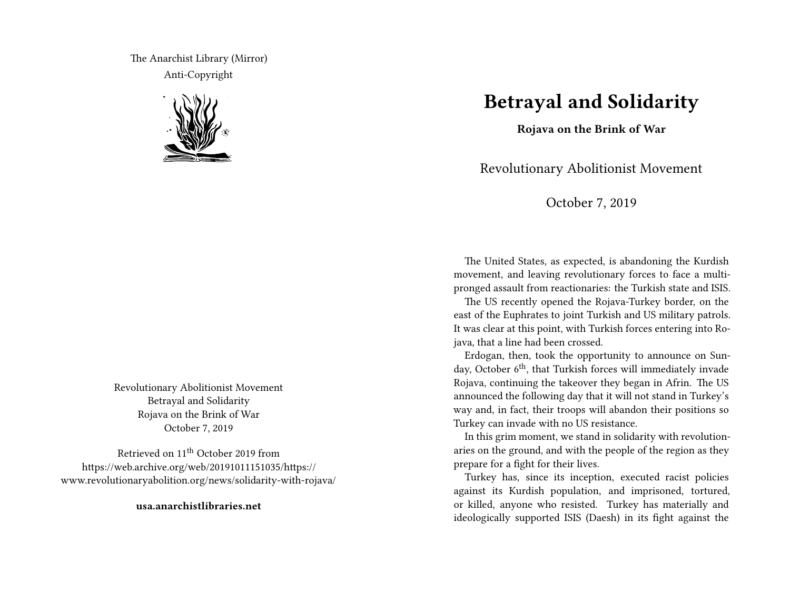The Anarchist Library (Mirror) Anti-Copyright



Revolutionary Abolitionist Movement Betrayal and Solidarity Rojava on the Brink of War October 7, 2019

Retrieved on 11th October 2019 from https://web.archive.org/web/20191011151035/https:// www.revolutionaryabolition.org/news/solidarity-with-rojava/

**usa.anarchistlibraries.net**

## **Betrayal and Solidarity**

**Rojava on the Brink of War**

Revolutionary Abolitionist Movement

October 7, 2019

The United States, as expected, is abandoning the Kurdish movement, and leaving revolutionary forces to face a multipronged assault from reactionaries: the Turkish state and ISIS.

The US recently opened the Rojava-Turkey border, on the east of the Euphrates to joint Turkish and US military patrols. It was clear at this point, with Turkish forces entering into Rojava, that a line had been crossed.

Erdogan, then, took the opportunity to announce on Sunday, October  $6<sup>th</sup>$ , that Turkish forces will immediately invade Rojava, continuing the takeover they began in Afrin. The US announced the following day that it will not stand in Turkey's way and, in fact, their troops will abandon their positions so Turkey can invade with no US resistance.

In this grim moment, we stand in solidarity with revolutionaries on the ground, and with the people of the region as they prepare for a fight for their lives.

Turkey has, since its inception, executed racist policies against its Kurdish population, and imprisoned, tortured, or killed, anyone who resisted. Turkey has materially and ideologically supported ISIS (Daesh) in its fight against the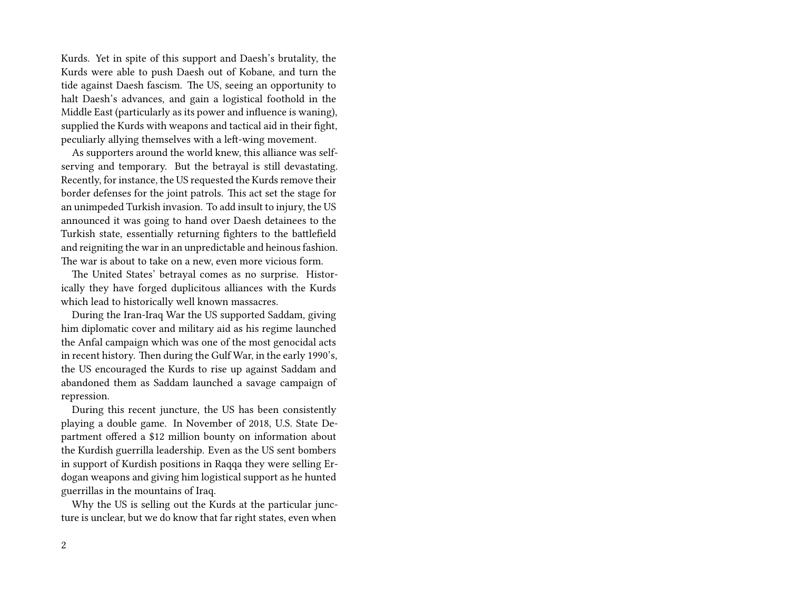Kurds. Yet in spite of this support and Daesh's brutality, the Kurds were able to push Daesh out of Kobane, and turn the tide against Daesh fascism. The US, seeing an opportunity to halt Daesh's advances, and gain a logistical foothold in the Middle East (particularly as its power and influence is waning), supplied the Kurds with weapons and tactical aid in their fight, peculiarly allying themselves with a left-wing movement.

As supporters around the world knew, this alliance was selfserving and temporary. But the betrayal is still devastating. Recently, for instance, the US requested the Kurds remove their border defenses for the joint patrols. This act set the stage for an unimpeded Turkish invasion. To add insult to injury, the US announced it was going to hand over Daesh detainees to the Turkish state, essentially returning fighters to the battlefield and reigniting the war in an unpredictable and heinous fashion. The war is about to take on a new, even more vicious form.

The United States' betrayal comes as no surprise. Historically they have forged duplicitous alliances with the Kurds which lead to historically well known massacres.

During the Iran-Iraq War the US supported Saddam, giving him diplomatic cover and military aid as his regime launched the Anfal campaign which was one of the most genocidal acts in recent history. Then during the Gulf War, in the early 1990's, the US encouraged the Kurds to rise up against Saddam and abandoned them as Saddam launched a savage campaign of repression.

During this recent juncture, the US has been consistently playing a double game. In November of 2018, U.S. State Department offered a \$12 million bounty on information about the Kurdish guerrilla leadership. Even as the US sent bombers in support of Kurdish positions in Raqqa they were selling Erdogan weapons and giving him logistical support as he hunted guerrillas in the mountains of Iraq.

Why the US is selling out the Kurds at the particular juncture is unclear, but we do know that far right states, even when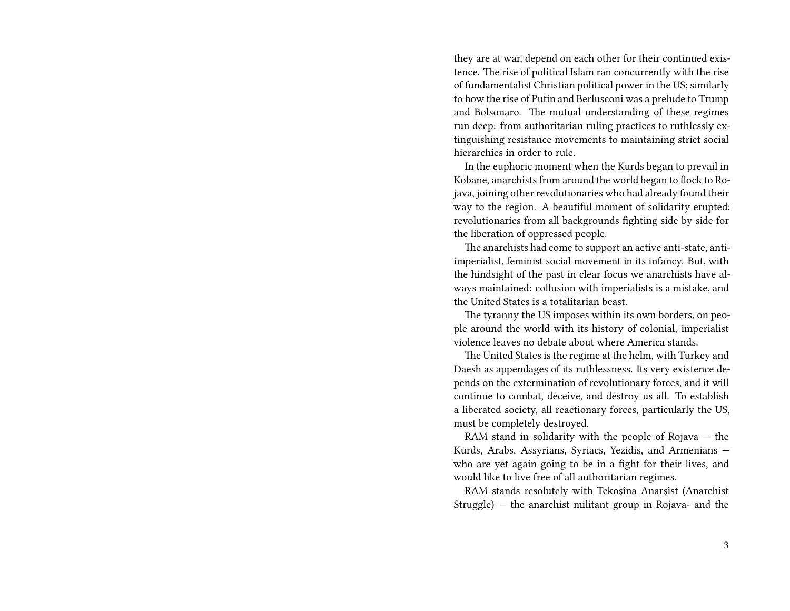they are at war, depend on each other for their continued existence. The rise of political Islam ran concurrently with the rise of fundamentalist Christian political power in the US; similarly to how the rise of Putin and Berlusconi was a prelude to Trump and Bolsonaro. The mutual understanding of these regimes run deep: from authoritarian ruling practices to ruthlessly extinguishing resistance movements to maintaining strict social hierarchies in order to rule.

In the euphoric moment when the Kurds began to prevail in Kobane, anarchists from around the world began to flock to Rojava, joining other revolutionaries who had already found their way to the region. A beautiful moment of solidarity erupted: revolutionaries from all backgrounds fighting side by side for the liberation of oppressed people.

The anarchists had come to support an active anti-state, antiimperialist, feminist social movement in its infancy. But, with the hindsight of the past in clear focus we anarchists have always maintained: collusion with imperialists is a mistake, and the United States is a totalitarian beast.

The tyranny the US imposes within its own borders, on people around the world with its history of colonial, imperialist violence leaves no debate about where America stands.

The United States is the regime at the helm, with Turkey and Daesh as appendages of its ruthlessness. Its very existence depends on the extermination of revolutionary forces, and it will continue to combat, deceive, and destroy us all. To establish a liberated society, all reactionary forces, particularly the US, must be completely destroyed.

RAM stand in solidarity with the people of Rojava — the Kurds, Arabs, Assyrians, Syriacs, Yezidis, and Armenians who are yet again going to be in a fight for their lives, and would like to live free of all authoritarian regimes.

RAM stands resolutely with Tekoşîna Anarşîst (Anarchist Struggle) — the anarchist militant group in Rojava- and the